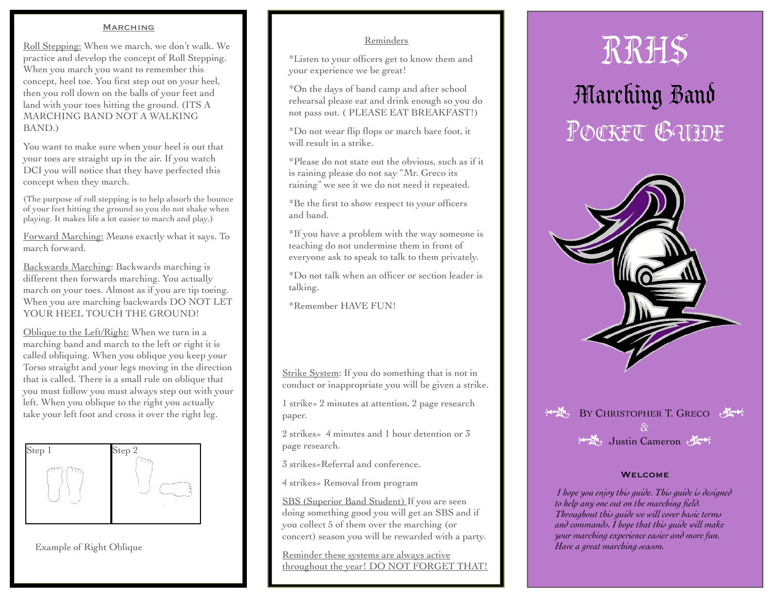### **MARCHING**

Roll Stepping: When we march, we don't walk. We practice and develop the concept of Roll Stepping. When you march you want to remember this concept, heel toe. You first step out on your heel, then you roll down on the balls of your feet and land with your toes hitting the ground. (ITS A MARCHING BAND NOT A WALKING BAND.)

You want to make sure when your heel is out that your toes are straight up in the air. If you watch DCI you will notice that they have perfected this concept when they march.

(The purpose of roll stepping is to help absorb the bounce of your feet hitting the ground so you do not shake when playing. It makes life a lot easier to march and play.)

Forward Marching: Means exactly what it says. To march forward.

Backwards Marching: Backwards marching is different then forwards marching. You actually march on your toes. Almost as if you are tip toeing. When you are marching backwards DO NOT LET YOUR HEEL TOUCH THE GROUND!

Oblique to the Left/Right: When we turn in a marching band and march to the left or right it is called obliquing. When you oblique you keep your Torso straight and your legs moving in the direction that is called. There is a small rule on oblique that you must follow you must always step out with your left. When you oblique to the right you actually take your left foot and cross it over the right leg.



Example of Right Oblique

## Reminders

\*Listen to your officers get to know them and your experience we be great!

\*On the days of band camp and after school rehearsal please eat and drink enough so you do not pass out. ( PLEASE EAT BREAKFAST!)

\*Do not wear flip flops or march bare foot, it will result in a strike.

\*Please do not state out the obvious, such as if it is raining please do not say "Mr. Greco its raining" we see it we do not need it repeated.

\*Be the first to show respect to your officers and band.

\*If you have a problem with the way someone is teaching do not undermine them in front of everyone ask to speak to talk to them privately.

\*Do not talk when an officer or section leader is talking.

\*Remember HAVE FUN!

Strike System: If you do something that is not in conduct or inappropriate you will be given a strike.

1 strike= 2 minutes at attention, 2 page research paper.

2 strikes= 4 minutes and 1 hour detention or 3 page research.

3 strikes=Referral and conference.

4 strikes= Removal from program

SBS (Superior Band Student) If you are seen doing something good you will get an SBS and if you collect 5 of them over the marching (or concert) season you will be rewarded with a party.

Reminder these systems are always active throughout the year! DO NOT FORGET THAT!

## POCKET GUIDE RRHS Marching Band





### **WELCOME**

 *I hope you enjoy this guide. This guide is designed to help any one out on the marching field. Throughout this guide we will cover basic terms and commands. I hope that this guide will make your marching experience easier and more fun. Have a great marching season.*